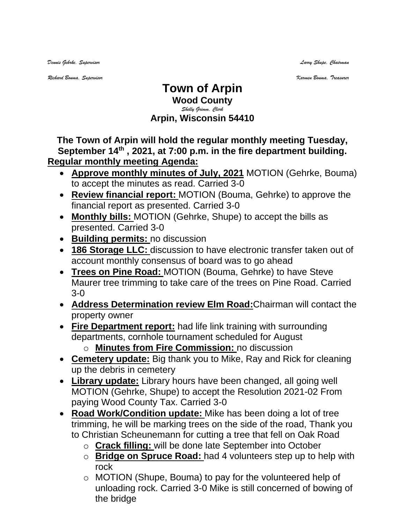*Dennis Gehrke, Supervisor Larry Shupe, Chairman* 

*Richard Bouma, Supervisor Karmen Bouma, Treasurer*

## **Town of Arpin Wood County** *Shelly Grimm, Clerk* **Arpin, Wisconsin 54410**

**The Town of Arpin will hold the regular monthly meeting Tuesday, September 14th , 2021, at 7:00 p.m. in the fire department building. Regular monthly meeting Agenda:** 

- **Approve monthly minutes of July, 2021** MOTION (Gehrke, Bouma) to accept the minutes as read. Carried 3-0
- **Review financial report:** MOTION (Bouma, Gehrke) to approve the financial report as presented. Carried 3-0
- **Monthly bills:** MOTION (Gehrke, Shupe) to accept the bills as presented. Carried 3-0
- **Building permits:** no discussion
- **186 Storage LLC:** discussion to have electronic transfer taken out of account monthly consensus of board was to go ahead
- **Trees on Pine Road:** MOTION (Bouma, Gehrke) to have Steve Maurer tree trimming to take care of the trees on Pine Road. Carried 3-0
- **Address Determination review Elm Road:**Chairman will contact the property owner
- **Fire Department report:** had life link training with surrounding departments, cornhole tournament scheduled for August o **Minutes from Fire Commission:** no discussion
- **Cemetery update:** Big thank you to Mike, Ray and Rick for cleaning up the debris in cemetery
- **Library update:** Library hours have been changed, all going well MOTION (Gehrke, Shupe) to accept the Resolution 2021-02 From paying Wood County Tax. Carried 3-0
- **Road Work/Condition update:** Mike has been doing a lot of tree trimming, he will be marking trees on the side of the road, Thank you to Christian Scheunemann for cutting a tree that fell on Oak Road
	- o **Crack filling:** will be done late September into October
	- o **Bridge on Spruce Road:** had 4 volunteers step up to help with rock
	- o MOTION (Shupe, Bouma) to pay for the volunteered help of unloading rock. Carried 3-0 Mike is still concerned of bowing of the bridge